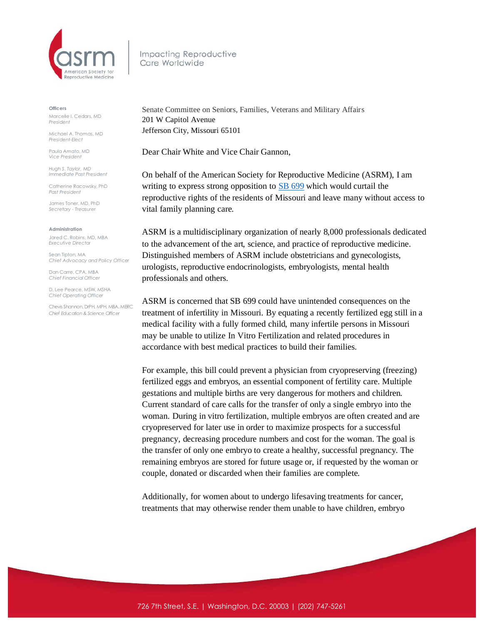

Impacting Reproductive Care Worldwide

## **Officers**

Marcelle I. Cedars, MD *President*

Michael A. Thomas, MD *President-Elect*

Paula Amato, MD *Vice President*

*Hugh S. Taylor, MD Immediate Past President*

Catherine Racowsky, PhD *Past President*

James Toner, MD, PhD *Secretary - Treasurer* 

## **Administration**

Jared C. Robins, MD, MBA *Executive Director*

Sean Tipton, MA *Chief Advocacy and Policy Officer*

Dan Carre, CPA, MBA *Chief Financial Officer*

D. Lee Pearce, MSW, MSHA *Chief Operating Officer* 

Chevis Shannon, DrPH, MPH, MBA, MERC *Chief Education & Science Officer*

Senate Committee on Seniors, Families, Veterans and Military Affairs 201 W Capitol Avenue Jefferson City, Missouri 65101

Dear Chair White and Vice Chair Gannon,

On behalf of the American Society for Reproductive Medicine (ASRM), I am writing to express strong opposition to **SB [699](https://s3.amazonaws.com/fn-document-service/file-by-sha384/f71ee0f5ce8cf5aef00bf43eb91e362e50b52e30700a1bb26e8e1e841bd5b0c9373ce7c56859bcac03dbb9af7859285c)** which would curtail the reproductive rights of the residents of Missouri and leave many without access to vital family planning care.

ASRM is a multidisciplinary organization of nearly 8,000 professionals dedicated to the advancement of the art, science, and practice of reproductive medicine. Distinguished members of ASRM include obstetricians and gynecologists, urologists, reproductive endocrinologists, embryologists, mental health professionals and others.

ASRM is concerned that SB 699 could have unintended consequences on the treatment of infertility in Missouri. By equating a recently fertilized egg still in a medical facility with a fully formed child, many infertile persons in Missouri may be unable to utilize In Vitro Fertilization and related procedures in accordance with best medical practices to build their families.

For example, this bill could prevent a physician from cryopreserving (freezing) fertilized eggs and embryos, an essential component of fertility care. Multiple gestations and multiple births are very dangerous for mothers and children. Current standard of care calls for the transfer of only a single embryo into the woman. During in vitro fertilization, multiple embryos are often created and are cryopreserved for later use in order to maximize prospects for a successful pregnancy, decreasing procedure numbers and cost for the woman. The goal is the transfer of only one embryo to create a healthy, successful pregnancy. The remaining embryos are stored for future usage or, if requested by the woman or couple, donated or discarded when their families are complete.

Additionally, for women about to undergo lifesaving treatments for cancer, treatments that may otherwise render them unable to have children, embryo